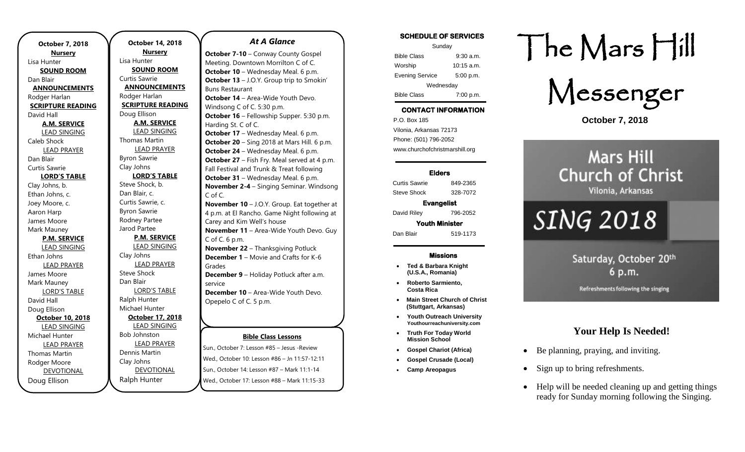| <b>October 7, 2018</b><br><b>Nursery</b> |  |  |
|------------------------------------------|--|--|
| Lisa Hunter                              |  |  |
| <b>SOUND ROOM</b>                        |  |  |
| Dan Blair                                |  |  |
| <b>ANNOUNCEMENTS</b>                     |  |  |
| Rodger Harlan                            |  |  |
| <b>SCRIPTURE READING</b>                 |  |  |
| David Hall                               |  |  |
| <b>A.M. SERVICE</b>                      |  |  |
| LEAD SINGING                             |  |  |
| Caleb Shock                              |  |  |
| <b>LEAD PRAYER</b>                       |  |  |
| Dan Blair                                |  |  |
| Curtis Sawrie                            |  |  |
| <b>LORD'S TABLE</b>                      |  |  |
| Clay Johns, b.                           |  |  |
| Ethan Johns, c.                          |  |  |
| Joey Moore, c.                           |  |  |
| Aaron Harp                               |  |  |
| James Moore                              |  |  |
| Mark Mauney                              |  |  |
| <b>P.M. SERVICE</b>                      |  |  |
| <b>LEAD SINGING</b>                      |  |  |
| Ethan Johns                              |  |  |
| <b>LEAD PRAYER</b>                       |  |  |
| James Moore                              |  |  |
| Mark Mauney                              |  |  |
| <b>LORD'S TABLE</b>                      |  |  |
| David Hall                               |  |  |
| Doug Ellison                             |  |  |
| October 10, 2018                         |  |  |
| <b>LEAD SINGING</b>                      |  |  |
| Michael Hunter                           |  |  |
| <b>LEAD PRAYER</b>                       |  |  |
| Thomas Martin                            |  |  |
| Rodger Moore                             |  |  |
| <b>DEVOTIONAL</b>                        |  |  |
| Doug Ellison                             |  |  |

**October 14, 2018 Nursery** Lisa Hunter **SOUND ROOM** Curtis Sawrie **ANNOUNCEMENTS** Rodger Harlan **SCRIPTURE READING** Doug Ellison **A.M. SERVICE** LEAD SINGING Thomas Martin LEAD PRAYER Byron Sawrie Clay Johns **LORD'S TABLE** Steve Shock, b. Dan Blair, c. Curtis Sawrie, c. Byron Sawrie Rodney Partee Jarod Partee **P.M. SERVICE** LEAD SINGING Clay Johns LEAD PRAYER Steve Shock Dan Blair LORD'S TABLE Ralph Hunter Michael Hunter **October 17, 2018** LEAD SINGING Bob Johnston LEAD PRAYER Dennis Martin Clay Johns DEVOTIONAL

Ralph Hunter

### *At A Glance*

**October 7-10** – Conway County Gospel Meeting. Downtown Morrilton C of C. **October 10** – Wednesday Meal. 6 p.m. **October 13** – J.O.Y. Group trip to Smokin' Buns Restaurant **October 14** – Area-Wide Youth Devo. Windsong C of C. 5:30 p.m. **October 16** – Fellowship Supper. 5:30 p.m. Harding St. C of C. **October 17** – Wednesday Meal. 6 p.m. **October 20** – Sing 2018 at Mars Hill. 6 p.m. **October 24** – Wednesday Meal. 6 p.m. **October 27** – Fish Fry. Meal served at 4 p.m. Fall Festival and Trunk & Treat following **October 31** – Wednesday Meal. 6 p.m. **November 2-4** – Singing Seminar. Windsong C of C. **November 10** – J.O.Y. Group. Eat together at 4 p.m. at El Rancho. Game Night following at Carey and Kim Well's house **November 11** – Area-Wide Youth Devo. Guy C of C. 6 p.m. **November 22** – Thanksgiving Potluck **December 1** – Movie and Crafts for K-6 Grades **December 9** – Holiday Potluck after a.m. service **December 10** – Area-Wide Youth Devo. Opepelo C of C. 5 p.m.

### **Bible Class Lessons**

Sun., October 7: Lesson #85 – Jesus -Review Wed., October 10: Lesson #86 – Jn 11:57-12:11 Sun., October 14: Lesson #87 – Mark 11:1-14 Wed., October 17: Lesson #88 – Mark 11:15-33

### **SCHEDULE OF SERVICES**

| Sunday                 |              |  |  |
|------------------------|--------------|--|--|
| <b>Bible Class</b>     | $9:30$ a.m.  |  |  |
| Worship                | $10:15$ a.m. |  |  |
| <b>Evening Service</b> | 5:00 p.m.    |  |  |
| Wednesday              |              |  |  |
| <b>Bible Class</b>     | 7:00 p.m.    |  |  |

# **CONTACT INFORMATION**

. .o. Box 166<br>Vilonia, Arkansas 72173 P.O. Box 185 Phone: (501) 796-2052 www.churchofchristmarshill.org

### **Elders**

Curtis Sawrie 849-2365 Steve Shock 328-7072

### **Evangelist**

David Riley 796-2052 **Youth Minister** 

Dan Blair 519-1173

### **Missions**

- **Ted & Barbara Knight (U.S.A., Romania)**
- **Roberto Sarmiento, Costa Rica**
- **Main Street Church of Christ (Stuttgart, Arkansas)**
- **Youth Outreach University Youthourreachuniversity.com**
- **Truth For Today World Mission School**
- **Gospel Chariot (Africa)**
- **Gospel Crusade (Local)**
- **Camp Areopagus**

# The Mars Hill

Messenger

**October 7, 2018**

# **Mars Hill Church of Christ** Vilonia, Arkansas

# **SING 2018**

Saturday, October 20th 6 p.m.

Refreshments following the singing

### **Your Help Is Needed!**

- Be planning, praying, and inviting.
- Sign up to bring refreshments.
- Help will be needed cleaning up and getting things ready for Sunday morning following the Singing.